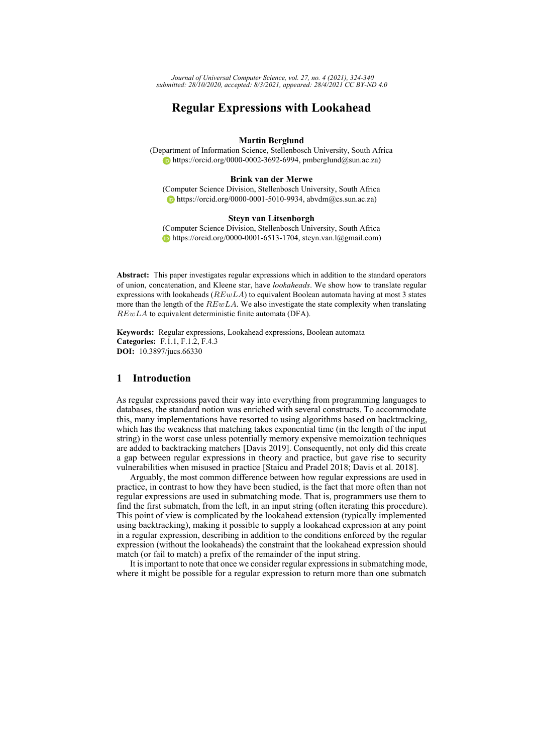*Journal of Universal Computer Science, vol. 27, no. 4 (2021), 324-340 submitted: 28/10/2020, accepted: 8/3/2021, appeared: 28/4/2021 CC BY-ND 4.0*

# **Regular Expressions with Lookahead**

### **Martin Berglund**

(Department of Information Science, Stellenbosch University, South Africa  $\bullet$  [https://orcid.org/0000-0002-3692-6994,](https://orcid.org/0000-0002-3692-6994) pmberglund@sun.ac.za)

#### **Brink van der Merwe**

(Computer Science Division, Stellenbosch University, South Africa [https://orcid.org/0000-0001-5010-9934,](https://orcid.org/0000-0001-5010-9934) abvdm $(a$ cs.sun.ac.za)

#### **Steyn van Litsenborgh**

(Computer Science Division, Stellenbosch University, South Africa [https://orcid.org/0000-0001-6513-1704,](https://orcid.org/0000-0001-6513-1704) steyn.van.l@gmail.com)

**Abstract:** This paper investigates regular expressions which in addition to the standard operators of union, concatenation, and Kleene star, have *lookaheads*. We show how to translate regular expressions with lookaheads  $(REwLA)$  to equivalent Boolean automata having at most 3 states more than the length of the  $REwLA$ . We also investigate the state complexity when translating REwLA to equivalent deterministic finite automata (DFA).

**Keywords:** Regular expressions, Lookahead expressions, Boolean automata **Categories:** F.1.1, F.1.2, F.4.3 **DOI:** 10.3897/jucs.66330

## **1 Introduction**

As regular expressions paved their way into everything from programming languages to databases, the standard notion was enriched with several constructs. To accommodate this, many implementations have resorted to using algorithms based on backtracking, which has the weakness that matching takes exponential time (in the length of the input string) in the worst case unless potentially memory expensive memoization techniques are added to backtracking matchers [\[Davis 2019\]](#page-15-0). Consequently, not only did this create a gap between regular expressions in theory and practice, but gave rise to security vulnerabilities when misused in practice [\[Staicu and Pradel 2018;](#page-16-0) [Davis et al. 2018\]](#page-15-1).

Arguably, the most common difference between how regular expressions are used in practice, in contrast to how they have been studied, is the fact that more often than not regular expressions are used in submatching mode. That is, programmers use them to find the first submatch, from the left, in an input string (often iterating this procedure). This point of view is complicated by the lookahead extension (typically implemented using backtracking), making it possible to supply a lookahead expression at any point in a regular expression, describing in addition to the conditions enforced by the regular expression (without the lookaheads) the constraint that the lookahead expression should match (or fail to match) a prefix of the remainder of the input string.

It is important to note that once we consider regular expressions in submatching mode, where it might be possible for a regular expression to return more than one submatch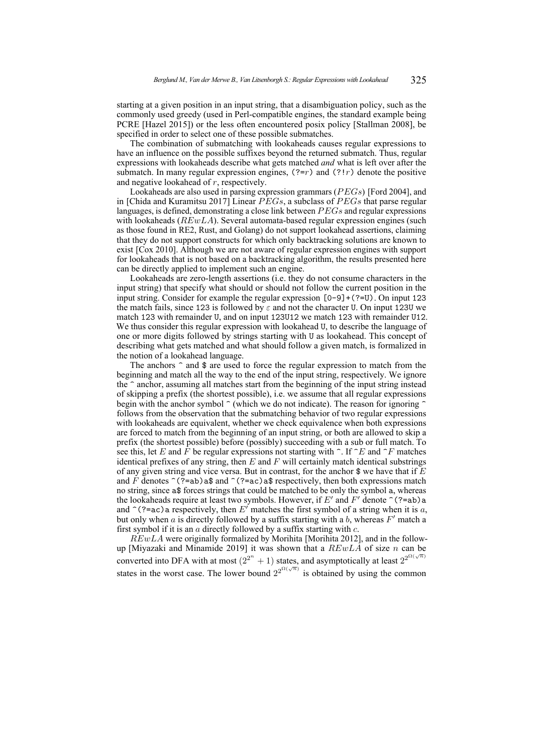starting at a given position in an input string, that a disambiguation policy, such as the commonly used greedy (used in Perl-compatible engines, the standard example being PCRE [\[Hazel 2015\]](#page-16-1)) or the less often encountered posix policy [\[Stallman 2008\]](#page-16-2), be specified in order to select one of these possible submatches.

The combination of submatching with lookaheads causes regular expressions to have an influence on the possible suffixes beyond the returned submatch. Thus, regular expressions with lookaheads describe what gets matched *and* what is left over after the submatch. In many regular expression engines,  $(2-r)$  and  $(2!r)$  denote the positive and negative lookahead of r, respectively.

Lookaheads are also used in parsing expression grammars ( $PEGs$ ) [\[Ford 2004\]](#page-16-3), and in [\[Chida and Kuramitsu 2017\]](#page-15-2) Linear  $\overline{PEGs}$ , a subclass of  $\overline{PEGs}$  that parse regular languages, is defined, demonstrating a close link between  $PEGs$  and regular expressions with lookaheads ( $REwLA$ ). Several automata-based regular expression engines (such as those found in RE2, Rust, and Golang) do not support lookahead assertions, claiming that they do not support constructs for which only backtracking solutions are known to exist [\[Cox 2010\]](#page-15-3). Although we are not aware of regular expression engines with support for lookaheads that is not based on a backtracking algorithm, the results presented here can be directly applied to implement such an engine.

Lookaheads are zero-length assertions (i.e. they do not consume characters in the input string) that specify what should or should not follow the current position in the input string. Consider for example the regular expression [0-9]+(?=U). On input 123 the match fails, since 123 is followed by  $\varepsilon$  and not the character U. On input 123U we match 123 with remainder U, and on input 123U12 we match 123 with remainder U12. We thus consider this regular expression with lookahead U, to describe the language of one or more digits followed by strings starting with U as lookahead. This concept of describing what gets matched and what should follow a given match, is formalized in the notion of a lookahead language.

The anchors  $\hat{}$  and  $\hat{}$  are used to force the regular expression to match from the beginning and match all the way to the end of the input string, respectively. We ignore the ^ anchor, assuming all matches start from the beginning of the input string instead of skipping a prefix (the shortest possible), i.e. we assume that all regular expressions begin with the anchor symbol  $\hat{\ }$  (which we do not indicate). The reason for ignoring  $\hat{\ }$ follows from the observation that the submatching behavior of two regular expressions with lookaheads are equivalent, whether we check equivalence when both expressions are forced to match from the beginning of an input string, or both are allowed to skip a prefix (the shortest possible) before (possibly) succeeding with a sub or full match. To see this, let E and F be regular expressions not starting with  $\hat{ }$ . If  $\hat{ }$ E and  $\hat{ }$ F matches identical prefixes of any string, then  $E$  and  $F$  will certainly match identical substrings of any given string and vice versa. But in contrast, for the anchor  $\gamma$  we have that if E and F denotes  $\hat{\ }$  (?=ab)a\$ and  $\hat{\ }$  (?=ac)a\$ respectively, then both expressions match no string, since a\$ forces strings that could be matched to be only the symbol a, whereas the lookaheads require at least two symbols. However, if E' and F' denote  $\hat{\ }$  (?=ab)a and  $\hat{\ }$ (?=ac)a respectively, then E' matches the first symbol of a string when it is a, but only when  $a$  is directly followed by a suffix starting with a  $b$ , whereas  $F'$  match a first symbol if it is an  $\alpha$  directly followed by a suffix starting with  $c$ .

 $REwLA$  were originally formalized by Morihita [\[Morihita 2012\]](#page-16-4), and in the follow-up [\[Miyazaki and Minamide 2019\]](#page-16-5) it was shown that a  $REwLA$  of size n can be converted into DFA with at most  $(2^{2^n} + 1)$  states, and asymptotically at least  $2^{2^{\Omega(\sqrt{n})}}$ states in the worst case. The lower bound  $2^{2^{\Omega(\sqrt{n})}}$  is obtained by using the common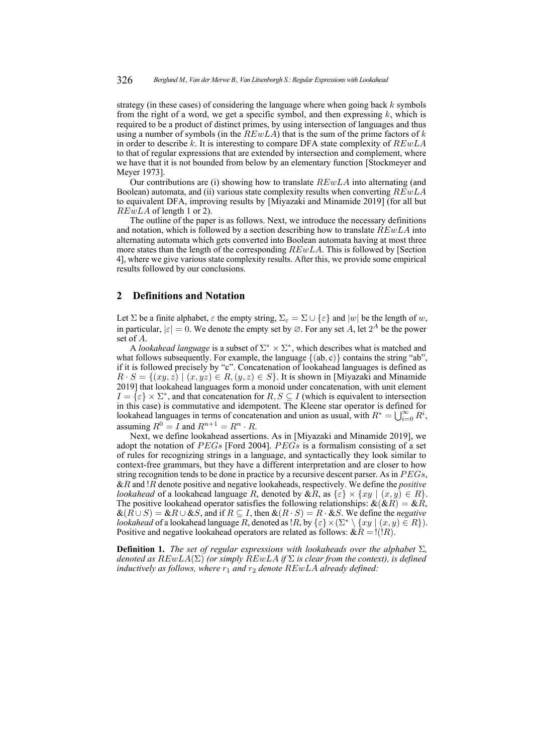strategy (in these cases) of considering the language where when going back  $k$  symbols from the right of a word, we get a specific symbol, and then expressing  $k$ , which is required to be a product of distinct primes, by using intersection of languages and thus using a number of symbols (in the  $REwLA$ ) that is the sum of the prime factors of k in order to describe k. It is interesting to compare DFA state complexity of  $REwLA$ to that of regular expressions that are extended by intersection and complement, where we have that it is not bounded from below by an elementary function [\[Stockmeyer and](#page-16-6) [Meyer 1973\]](#page-16-6).

Our contributions are (i) showing how to translate  $REwLA$  into alternating (and Boolean) automata, and (ii) various state complexity results when converting  $REwLA$ to equivalent DFA, improving results by [\[Miyazaki and Minamide 2019\]](#page-16-5) (for all but  $REwLA$  of length 1 or 2).

The outline of the paper is as follows. Next, we introduce the necessary definitions and notation, which is followed by a section describing how to translate  $REwLA$  into alternating automata which gets converted into Boolean automata having at most three more states than the length of the corresponding REwLA. This is followed by [Section [4\]](#page-11-0), where we give various state complexity results. After this, we provide some empirical results followed by our conclusions.

## **2 Definitions and Notation**

Let  $\Sigma$  be a finite alphabet,  $\varepsilon$  the empty string,  $\Sigma_{\varepsilon} = \Sigma \cup {\varepsilon}$  and  $|w|$  be the length of w, in particular,  $|\varepsilon| = 0$ . We denote the empty set by  $\varnothing$ . For any set A, let  $2^A$  be the power set of A.

A *lookahead language* is a subset of  $\Sigma^* \times \Sigma^*$ , which describes what is matched and what follows subsequently. For example, the language  $\{(ab, c)\}\$ contains the string "ab", if it is followed precisely by "c". Concatenation of lookahead languages is defined as  $R \cdot S = \{(xy, z) \mid (x, yz) \in R, (y, z) \in S\}$ . It is shown in [\[Miyazaki and Minamide](#page-16-5) [2019\]](#page-16-5) that lookahead languages form a monoid under concatenation, with unit element  $I = \{ \varepsilon \} \times \Sigma^*$ , and that concatenation for  $R, S \subseteq I$  (which is equivalent to intersection in this case) is commutative and idempotent. The Kleene star operator is defined for lookahead languages in terms of concatenation and union as usual, with  $R^* = \bigcup_{i=0}^{\infty} R^i$ , assuming  $R^0 = I$  and  $R^{n+1} = R^n \cdot R$ .

Next, we define lookahead assertions. As in [\[Miyazaki and Minamide 2019\]](#page-16-5), we adopt the notation of PEGs [\[Ford 2004\]](#page-16-3). PEGs is a formalism consisting of a set of rules for recognizing strings in a language, and syntactically they look similar to context-free grammars, but they have a different interpretation and are closer to how string recognition tends to be done in practice by a recursive descent parser. As in  $PEGs$ , &R and !R denote positive and negative lookaheads, respectively. We define the *positive lookahead* of a lookahead language R, denoted by  $\&R$ , as  $\{\varepsilon\} \times \{xy \mid (x, y) \in R\}.$ The positive lookahead operator satisfies the following relationships:  $\& (\& R) = \& \& R$ ,  $\&(R \cup S) = \&R \cup \&S$ , and if  $R \subseteq I$ , then  $\&(R \cdot S) = R \cdot \&S$ . We define the *negative lookahead* of a lookahead language R, denoted as  $\{R, \log \{\varepsilon\} \times (\Sigma^* \setminus \{xy \mid (x, y) \in R\})\}$ . Positive and negative lookahead operators are related as follows:  $\& R = \mathcal{V}(R)$ .

**Definition 1.** *The set of regular expressions with lookaheads over the alphabet* Σ*, denoted as* REwLA(Σ) *(or simply* REwLA *if* Σ *is clear from the context), is defined inductively as follows, where*  $r_1$  *and*  $r_2$  *denote*  $REwLA$  *already defined:*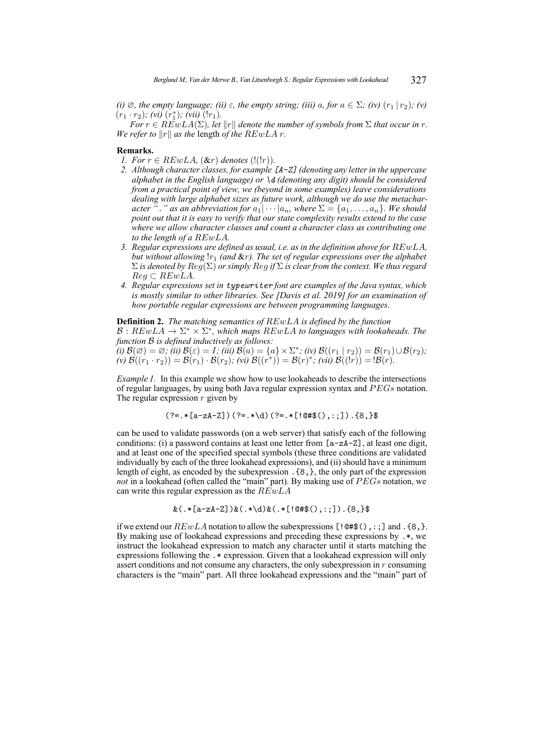*(i)*  $\emptyset$ *, the empty language; (ii)*  $\varepsilon$ *, the empty string; (iii)*  $a$ *, for*  $a \in \Sigma$ *; (iv)*  $(r_1 | r_2)$ *; (v)*  $(r_1 \cdot r_2)$ ; (vi)  $(r_1^*)$ ; (vii)  $(lr_1)$ .

*For*  $r \in REwLA(\Sigma)$ , let  $||r||$  denote the number of symbols from  $\Sigma$  that occur in r. *We refer to*  $||r||$  *as the length of the REwLA r.* 

### **Remarks.**

- *1. For*  $r \in REwLA$ ,  $(\& r)$  *denotes*  $(!(!r))$ *.*
- *2. Although character classes, for example [A-Z] (denoting any letter in the uppercase alphabet in the English language) or \d (denoting any digit) should be considered from a practical point of view, we (beyond in some examples) leave considerations dealing with large alphabet sizes as future work, although we do use the metacharacter* "*.*" as an abbreviation for  $a_1 | \cdots | a_n$ , where  $\Sigma = \{a_1, \ldots, a_n\}$ *. We should point out that it is easy to verify that our state complexity results extend to the case where we allow character classes and count a character class as contributing one to the length of a* REwLA*.*
- *3. Regular expressions are defined as usual, i.e. as in the definition above for* REwLA*, but without allowing* !r<sup>1</sup> *(and* &r*). The set of regular expressions over the alphabet* Σ *is denoted by* Reg(Σ) *or simply* Reg *if* Σ *is clear from the context. We thus regard* Reg ⊂ REwLA*.*
- *4. Regular expressions set in typewriter font are examples of the Java syntax, which is mostly similar to other libraries. See [\[Davis et al. 2019\]](#page-15-4) for an examination of how portable regular expressions are between programming languages.*

<span id="page-3-0"></span>**Definition 2.** *The matching semantics of* REwLA *is defined by the function*

 $\mathcal{B}: REwLA \to \Sigma^* \times \Sigma^*$ , which maps  $REwLA$  to languages with lookaheads. The *function* B *is defined inductively as follows:*

 $\widetilde{\mathcal{B}}(i)\,\mathcal{B}(\varnothing) = \varnothing; \,\widetilde{\mathcal{C}}(ii)\,\mathcal{B}(\varepsilon) = I; \,\mathcal{C}(iii)\,\mathcal{B}(a) = \{a\}\times \Sigma^*; \,\mathcal{C}(iv)\,\mathcal{B}((r_1\mid r_2)) = \mathcal{B}(r_1)\cup \mathcal{B}(r_2);$  $f(v) \mathcal{B}((r_1 \cdot r_2)) = \mathcal{B}(r_1) \cdot \mathcal{B}(r_2)$ ; *(vi)*  $\mathcal{B}((r^*)) = \mathcal{B}(r)^*$ ; *(vii)*  $\mathcal{B}((lr)) = \mathcal{B}(r)$ .

*Example 1.* In this example we show how to use lookaheads to describe the intersections of regular languages, by using both Java regular expression syntax and  $PEGs$  notation. The regular expression  $r$  given by

$$
(? = . * [a-zA-Z])
$$
 $(? = . * \d$  $(). * = . * [0#$(), :;])$  $. {8}$ 

can be used to validate passwords (on a web server) that satisfy each of the following conditions: (i) a password contains at least one letter from [a-zA-Z], at least one digit, and at least one of the specified special symbols (these three conditions are validated individually by each of the three lookahead expressions), and (ii) should have a minimum length of eight, as encoded by the subexpression .{8,}, the only part of the expression *not* in a lookahead (often called the "main" part). By making use of PEGs notation, we can write this regular expression as the  $REwLA$ 

$$
\&(.*[a-zA-Z])\&(.*\d) \&(.*[@#$(),::]
$$
. $\{\&$ , $\}$ 

if we extend our  $REwLA$  notation to allow the subexpressions [! $@#$($ ),:;] and .{8,}. By making use of lookahead expressions and preceding these expressions by .\*, we instruct the lookahead expression to match any character until it starts matching the expressions following the .\* expression. Given that a lookahead expression will only assert conditions and not consume any characters, the only subexpression in r consuming characters is the "main" part. All three lookahead expressions and the "main" part of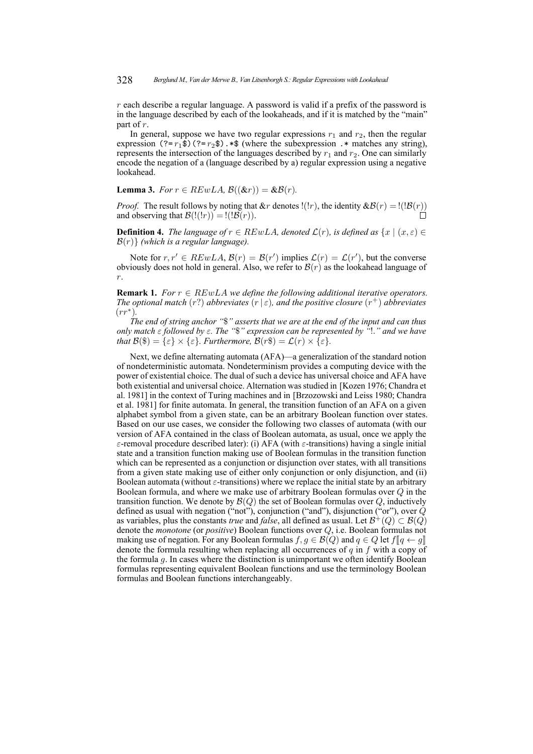$r$  each describe a regular language. A password is valid if a prefix of the password is in the language described by each of the lookaheads, and if it is matched by the "main" part of r.

In general, suppose we have two regular expressions  $r_1$  and  $r_2$ , then the regular expression  $(? = r_1\overline{\$})$   $(? = r_2\$ . \*\$ (where the subexpression .\* matches any string), represents the intersection of the languages described by  $r_1$  and  $r_2$ . One can similarly encode the negation of a (language described by a) regular expression using a negative lookahead.

<span id="page-4-0"></span>**Lemma 3.** *For*  $r \in REwLA$ ,  $\mathcal{B}((\&r)) = \&\mathcal{B}(r)$ .

*Proof.* The result follows by noting that  $\&r$  denotes !(!*r*), the identity  $\&B(r) =$ !(!*B*(*r*)) and observing that  $\mathcal{B}(\ell(n)) = \ell(\mathcal{B}(r)).$ 

**Definition 4.** *The language of*  $r \in REwLA$ *, denoted*  $\mathcal{L}(r)$ *, is defined as*  $\{x \mid (x, \varepsilon) \in$ B(r)} *(which is a regular language).*

Note for  $r, r' \in REwLA$ ,  $\mathcal{B}(r) = \mathcal{B}(r')$  implies  $\mathcal{L}(r) = \mathcal{L}(r')$ , but the converse obviously does not hold in general. Also, we refer to  $\mathcal{B}(r)$  as the lookahead language of r.

**Remark 1.** *For*  $r \in REwLA$  *we define the following additional iterative operators. The optional match*  $(r)$  *abbreviates*  $(r | \varepsilon)$ *, and the positive closure*  $(r<sup>+</sup>)$  *abbreviates* (rr<sup>∗</sup> )*.*

*The end of string anchor "*\$*" asserts that we are at the end of the input and can thus only match* ε *followed by* ε*. The "*\$*" expression can be represented by "*!.*" and we have that*  $\mathcal{B}(\$) = \{\varepsilon\} \times \{\varepsilon\}$ *. Furthermore,*  $\mathcal{B}(r\$) = \mathcal{L}(r) \times \{\varepsilon\}$ *.* 

Next, we define alternating automata (AFA)—a generalization of the standard notion of nondeterministic automata. Nondeterminism provides a computing device with the power of existential choice. The dual of such a device has universal choice and AFA have both existential and universal choice. Alternation was studied in [\[Kozen 1976;](#page-16-7) [Chandra et](#page-15-5) [al. 1981\]](#page-15-5) in the context of Turing machines and in [\[Brzozowski and Leiss 1980;](#page-15-6) [Chandra](#page-15-5) [et al. 1981\]](#page-15-5) for finite automata. In general, the transition function of an AFA on a given alphabet symbol from a given state, can be an arbitrary Boolean function over states. Based on our use cases, we consider the following two classes of automata (with our version of AFA contained in the class of Boolean automata, as usual, once we apply the ε-removal procedure described later): (i) AFA (with ε-transitions) having a single initial state and a transition function making use of Boolean formulas in the transition function which can be represented as a conjunction or disjunction over states, with all transitions from a given state making use of either only conjunction or only disjunction, and (ii) Boolean automata (without  $\varepsilon$ -transitions) where we replace the initial state by an arbitrary Boolean formula, and where we make use of arbitrary Boolean formulas over  $Q$  in the transition function. We denote by  $\mathcal{B}(Q)$  the set of Boolean formulas over Q, inductively defined as usual with negation ("not"), conjunction ("and"), disjunction ("or"), over  $\dot{Q}$ as variables, plus the constants *true* and *false*, all defined as usual. Let  $\mathcal{B}^+(Q) \subset \mathcal{B}(Q)$ denote the *monotone* (or *positive*) Boolean functions over Q, i.e. Boolean formulas not making use of negation. For any Boolean formulas  $f, g \in \mathcal{B}(Q)$  and  $g \in Q$  let  $f[[g \leftarrow g]]$ denote the formula resulting when replacing all occurrences of  $q$  in  $f$  with a copy of the formula g. In cases where the distinction is unimportant we often identify Boolean formulas representing equivalent Boolean functions and use the terminology Boolean formulas and Boolean functions interchangeably.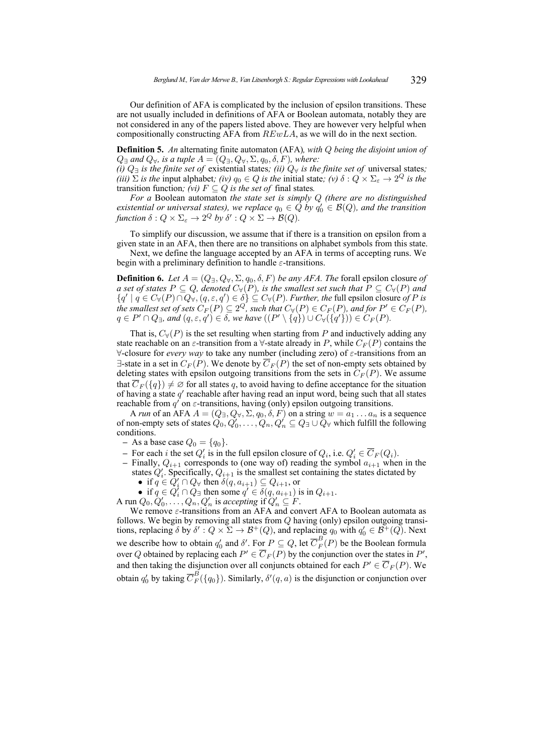Our definition of AFA is complicated by the inclusion of epsilon transitions. These are not usually included in definitions of AFA or Boolean automata, notably they are not considered in any of the papers listed above. They are however very helpful when compositionally constructing AFA from  $REwLA$ , as we will do in the next section.

**Definition 5.** *An* alternating finite automaton (AFA)*, with* Q *being the disjoint union of*  $Q_{\exists}$  *and*  $Q_{\forall}$ *, is a tuple*  $A = (Q_{\exists}, Q_{\forall}, \Sigma, q_0, \delta, F)$ *, where:* 

*(i)*  $Q_∃$  *is the finite set of* existential states; *(ii)*  $Q_∀$  *is the finite set of* universal states; *(iii)*  $\Sigma$  *is the* input alphabet*; (iv)*  $q_0 \in Q$  *is the* initial state*; (v)*  $\delta: Q \times \Sigma_{\epsilon} \to 2^Q$  *is the* transition function; (*vi*)  $F \subseteq Q$  *is the set of* final states.

*For a* Boolean automaton *the state set is simply* Q *(there are no distinguished existential or universal states), we replace*  $q_0 \in \tilde{Q}$  *by*  $q'_0 \in \mathcal{B}(Q)$ *, and the transition* function  $\delta: Q \times \Sigma_{\varepsilon} \to 2^Q$  by  $\delta': Q \times \Sigma \to \mathcal{B}(Q)$ .

To simplify our discussion, we assume that if there is a transition on epsilon from a given state in an AFA, then there are no transitions on alphabet symbols from this state. Next, we define the language accepted by an AFA in terms of accepting runs. We

begin with a preliminary definition to handle  $\varepsilon$ -transitions.

**Definition 6.** Let  $A = (Q_{\exists}, Q_{\forall}, \Sigma, q_0, \delta, F)$  *be any AFA. The* forall epsilon closure *of a set of states*  $P \subseteq Q$ *, denoted*  $C_{\forall}(P)$ *, is the smallest set such that*  $P \subseteq C_{\forall}(P)$  *and*  $\{q' \mid q \in C_{\forall}(P) \cap Q_{\forall}, (q, \varepsilon, q') \in \delta\} \subseteq C_{\forall}(P)$ . Further, the full epsilon closure of P is the smallest set of sets  $C_F(P) \subseteq 2^Q$ , such that  $C_\forall(P) \in C_F(P)$ , and for  $P' \in C_F(P)$ ,  $q \in P' \cap Q_{\exists}$ , and  $(q, \varepsilon, q') \in \delta$ , we have  $((P' \setminus \{q\}) \cup C_{\forall}(\{q'\}) ) \in C_F(P)$ .

That is,  $C_{\forall}(P)$  is the set resulting when starting from P and inductively adding any state reachable on an  $\varepsilon$ -transition from a  $\forall$ -state already in P, while  $C_F(P)$  contains the ∀-closure for *every way* to take any number (including zero) of ε-transitions from an  $\exists$ -state in a set in  $C_F(P)$ . We denote by  $\overline{C}_F(P)$  the set of non-empty sets obtained by deleting states with epsilon outgoing transitions from the sets in  $C_F(P)$ . We assume that  $\overline{C}_F(\lbrace q \rbrace) \neq \emptyset$  for all states q, to avoid having to define acceptance for the situation of having a state  $q'$  reachable after having read an input word, being such that all states reachable from  $q'$  on  $\varepsilon$ -transitions, having (only) epsilon outgoing transitions.

A *run* of an AFA  $A = (Q_{\exists}, Q_{\forall}, \Sigma, q_0, \delta, F)$  on a string  $w = a_1 \dots a_n$  is a sequence of non-empty sets of states  $Q_0, Q'_0, \ldots, Q_n, Q'_n \subseteq Q_\exists \cup Q_\forall$  which fulfill the following conditions.

- **–** As a base case  $Q_0 = \{q_0\}.$
- **–** For each *i* the set  $Q'_i$  is in the full epsilon closure of  $Q_i$ , i.e.  $Q'_i \in \overline{C}_F(Q_i)$ .
- Finally,  $Q_{i+1}$  corresponds to (one way of) reading the symbol  $a_{i+1}$  when in the states  $Q'_i$ . Specifically,  $Q_{i+1}$  is the smallest set containing the states dictated by
	- if  $q \in \hat{Q}'_i \cap Q_{\forall}$  then  $\delta(q, a_{i+1}) \subseteq Q_{i+1}$ , or
	- if  $q \in Q_i^{\prime} \cap Q_{\exists}$  then some  $q' \in \delta(q, a_{i+1})$  is in  $Q_{i+1}$ .
- A run  $Q_0, Q'_0, \ldots, Q_n, Q'_n$  is *accepting* if  $Q'_n \subseteq F$ .

We remove  $\varepsilon$ -transitions from an AFA and convert AFA to Boolean automata as follows. We begin by removing all states from  $Q$  having (only) epsilon outgoing transitions, replacing  $\delta$  by  $\delta' : Q \times \Sigma \to \mathcal{B}^+(Q)$ , and replacing  $q_0$  with  $q'_0 \in \mathcal{B}^+(Q)$ . Next we describe how to obtain  $q'_0$  and  $\delta'$ . For  $P \subseteq Q$ , let  $\overline{C}_F^B(P)$  be the Boolean formula over Q obtained by replacing each  $P' \in \overline{C}_F(P)$  by the conjunction over the states in  $P'$ , and then taking the disjunction over all conjuncts obtained for each  $P' \in \overline{C}_F(P)$ . We obtain  $q'_0$  by taking  $\overline{C}_F^B(\lbrace q_0 \rbrace)$ . Similarly,  $\delta'(q, a)$  is the disjunction or conjunction over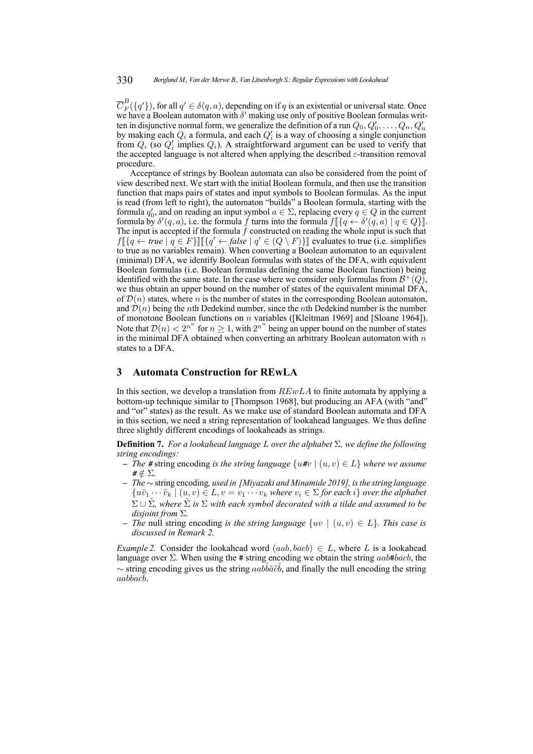$\overline{C}_F^B(\lbrace q' \rbrace)$ , for all  $q' \in \delta(q, a)$ , depending on if q is an existential or universal state. Once we have a Boolean automaton with  $\delta'$  making use only of positive Boolean formulas written in disjunctive normal form, we generalize the definition of a run  $Q_0, Q'_0, \ldots, Q_n, Q'_n$ by making each  $Q_i$  a formula, and each  $Q_i$  is a way of choosing a single conjunction from  $Q_i$  (so  $Q'_i$  implies  $Q_i$ ). A straightforward argument can be used to verify that the accepted language is not altered when applying the described  $\varepsilon$ -transition removal procedure.

Acceptance of strings by Boolean automata can also be considered from the point of view described next. We start with the initial Boolean formula, and then use the transition function that maps pairs of states and input symbols to Boolean formulas. As the input is read (from left to right), the automaton "builds" a Boolean formula, starting with the formula  $q'_0$ , and on reading an input symbol  $a \in \Sigma$ , replacing every  $q \in Q$  in the current formula by  $\delta'(q, a)$ , i.e. the formula f turns into the formula  $f[\{q \leftarrow \delta'(q, a) \mid q \in Q\}].$ <br>The input is accepted if the formula f constructed on reading the whole input is such that The input is accepted if the formula  $f$  constructed on reading the whole input is such that  $f\left[\{q \leftarrow true \mid q \in F\}\right] \left[\left\{q' \leftarrow false \mid q' \in (Q \setminus F)\}\right]\right]$  evaluates to true (i.e. simplifies to true as no variables remain). When converting a Boolean automaton to an equivalent to true as no variables remain). When converting a Boolean automaton to an equivalent (minimal) DFA, we identify Boolean formulas with states of the DFA, with equivalent Boolean formulas (i.e. Boolean formulas defining the same Boolean function) being identified with the same state. In the case where we consider only formulas from  $\mathcal{B}^+(Q)$ , we thus obtain an upper bound on the number of states of the equivalent minimal DFA, of  $\mathcal{D}(n)$  states, where n is the number of states in the corresponding Boolean automaton, and  $\mathcal{D}(n)$  being the *n*th Dedekind number, since the *n*th Dedekind number is the number of monotone Boolean functions on n variables([\[Kleitman 1969\]](#page-16-8) and [\[Sloane 1964\]](#page-16-9)). Note that  $\mathcal{D}(n) < 2^{n^n}$  for  $n \geq 1$ , with  $2^{n^n}$  being an upper bound on the number of states in the minimal DFA obtained when converting an arbitrary Boolean automaton with  $n$ states to a DFA.

# <span id="page-6-0"></span>**3 Automata Construction for REwLA**

In this section, we develop a translation from  $REwLA$  to finite automata by applying a bottom-up technique similar to [\[Thompson 1968\]](#page-16-10), but producing an AFA (with "and" and "or" states) as the result. As we make use of standard Boolean automata and DFA in this section, we need a string representation of lookahead languages. We thus define three slightly different encodings of lookaheads as strings.

<span id="page-6-1"></span>**Definition 7.** *For a lookahead language* L *over the alphabet* Σ*, we define the following string encodings:*

- **–** *The #* string encoding *is the string language* {u*#*v | (u, v) ∈ L} *where we assume*  $# \notin \Sigma$ .
- **–** *The* ∼ string encoding*, used in [\[Miyazaki and Minamide 2019\]](#page-16-5), is the string language*  $\{u\tilde{v}_1\cdots\tilde{v}_k\mid (u,v)\in L, v=v_1\cdots v_k$  where  $v_i\in \Sigma$  for each  $i\}$  over the alphabet  $\Sigma \cup \tilde{\Sigma}$ *, where*  $\tilde{\Sigma}$  *is*  $\Sigma$  *with each symbol decorated with a tilde and assumed to be disjoint from* Σ*.*
- **–** *The* null string encoding *is the string language* {uv | (u, v) ∈ L}*. This case is discussed in Remark [2.](#page-7-0)*

*Example 2.* Consider the lookahead word  $(aab, bacb) \in L$ , where L is a lookahead language over  $\Sigma$ . When using the # string encoding we obtain the string  $aab$ #bacb, the  $\sim$  string encoding gives us the string  $aab\tilde{b}\tilde{a}\tilde{c}\tilde{b}$ , and finally the null encoding the string aabbacb.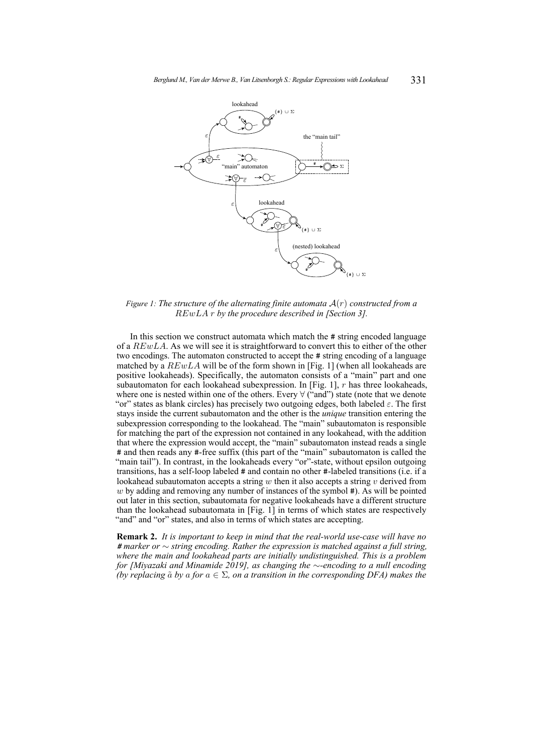<span id="page-7-1"></span>

*Figure 1: The structure of the alternating finite automata* A(r) *constructed from a* REwLA r *by the procedure described in [Section [3\]](#page-6-0).*

In this section we construct automata which match the # string encoded language of a REwLA. As we will see it is straightforward to convert this to either of the other two encodings. The automaton constructed to accept the # string encoding of a language matched by a  $REwLA$  will be of the form shown in [Fig. [1\]](#page-7-1) (when all lookaheads are positive lookaheads). Specifically, the automaton consists of a "main" part and one subautomaton for each lookahead subexpression. In [Fig. [1\]](#page-7-1), r has three lookaheads, where one is nested within one of the others. Every ∀ ("and") state (note that we denote "or" states as blank circles) has precisely two outgoing edges, both labeled  $\varepsilon$ . The first stays inside the current subautomaton and the other is the *unique* transition entering the subexpression corresponding to the lookahead. The "main" subautomaton is responsible for matching the part of the expression not contained in any lookahead, with the addition that where the expression would accept, the "main" subautomaton instead reads a single # and then reads any #-free suffix (this part of the "main" subautomaton is called the "main tail"). In contrast, in the lookaheads every "or"-state, without epsilon outgoing transitions, has a self-loop labeled # and contain no other #-labeled transitions (i.e. if a lookahead subautomaton accepts a string w then it also accepts a string  $v$  derived from  $w$  by adding and removing any number of instances of the symbol  $#$ ). As will be pointed out later in this section, subautomata for negative lookaheads have a different structure than the lookahead subautomata in [Fig. [1\]](#page-7-1) in terms of which states are respectively "and" and "or" states, and also in terms of which states are accepting.

<span id="page-7-0"></span>**Remark 2.** *It is important to keep in mind that the real-world use-case will have no # marker or* ∼ *string encoding. Rather the expression is matched against a full string, where the main and lookahead parts are initially undistinguished. This is a problem for [\[Miyazaki and Minamide 2019\]](#page-16-5), as changing the* ∼*-encoding to a null encoding (by replacing*  $\tilde{a}$  *by* a *for*  $a \in \Sigma$ , *on a transition in the corresponding DFA) makes the*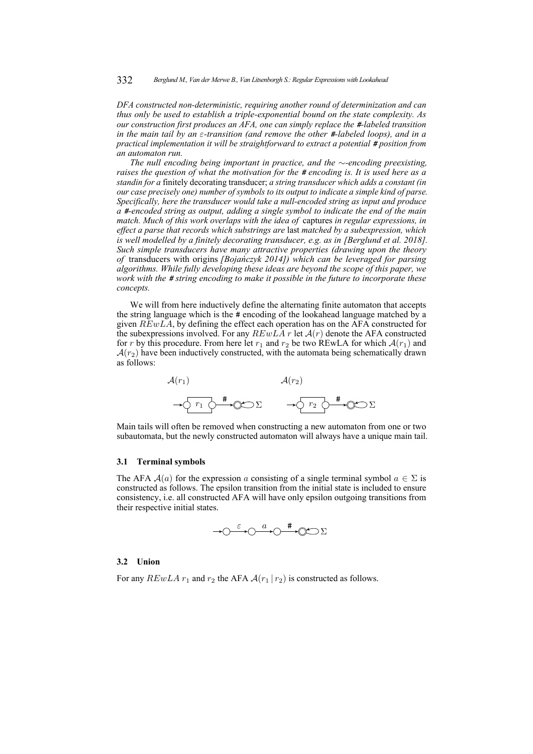332 *Berglund M., Van der Merwe B., Van Litsenborgh S.: Regular Expressions with Lookahead*

*DFA constructed non-deterministic, requiring another round of determinization and can thus only be used to establish a triple-exponential bound on the state complexity. As our construction first produces an AFA, one can simply replace the #-labeled transition in the main tail by an* ε*-transition (and remove the other #-labeled loops), and in a practical implementation it will be straightforward to extract a potential # position from an automaton run.*

*The null encoding being important in practice, and the* ∼*-encoding preexisting, raises the question of what the motivation for the # encoding is. It is used here as a standin for a* finitely decorating transducer; *a string transducer which adds a constant (in our case precisely one) number of symbols to its output to indicate a simple kind of parse. Specifically, here the transducer would take a null-encoded string as input and produce a #-encoded string as output, adding a single symbol to indicate the end of the main match. Much of this work overlaps with the idea of* captures *in regular expressions, in effect a parse that records which substrings are* last *matched by a subexpression, which is well modelled by a finitely decorating transducer, e.g. as in [\[Berglund et al. 2018\]](#page-15-7). Such simple transducers have many attractive properties (drawing upon the theory of* transducers with origins *[\[Bojańczyk 2014\]](#page-15-8)) which can be leveraged for parsing algorithms. While fully developing these ideas are beyond the scope of this paper, we work with the # string encoding to make it possible in the future to incorporate these concepts.*

We will from here inductively define the alternating finite automaton that accepts the string language which is the # encoding of the lookahead language matched by a given  $REwLA$ , by defining the effect each operation has on the AFA constructed for the subexpressions involved. For any  $REwLA$  r let  $A(r)$  denote the AFA constructed for r by this procedure. From here let  $r_1$  and  $r_2$  be two REwLA for which  $\mathcal{A}(r_1)$  and  $A(r_2)$  have been inductively constructed, with the automata being schematically drawn as follows:



Main tails will often be removed when constructing a new automaton from one or two subautomata, but the newly constructed automaton will always have a unique main tail.

#### **3.1 Terminal symbols**

The AFA  $A(a)$  for the expression a consisting of a single terminal symbol  $a \in \Sigma$  is constructed as follows. The epsilon transition from the initial state is included to ensure consistency, i.e. all constructed AFA will have only epsilon outgoing transitions from their respective initial states.



#### **3.2 Union**

For any  $REwLA r_1$  and  $r_2$  the AFA  $\mathcal{A}(r_1 | r_2)$  is constructed as follows.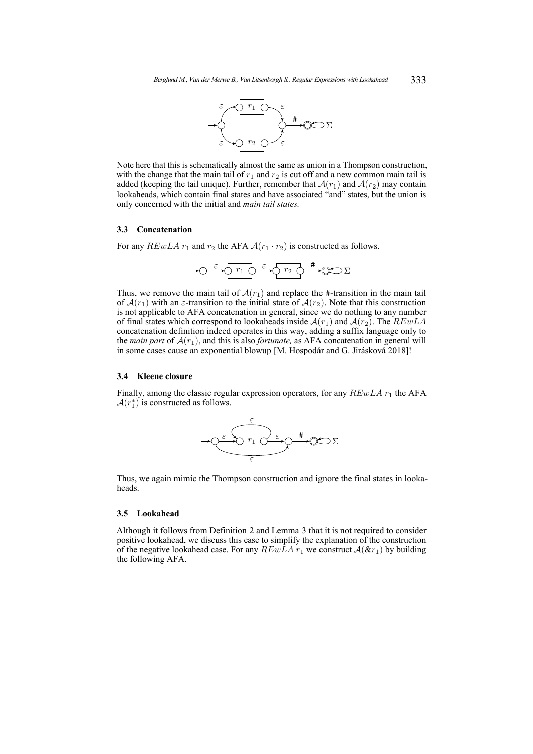

Note here that this is schematically almost the same as union in a Thompson construction, with the change that the main tail of  $r_1$  and  $r_2$  is cut off and a new common main tail is added (keeping the tail unique). Further, remember that  $A(r_1)$  and  $A(r_2)$  may contain lookaheads, which contain final states and have associated "and" states, but the union is only concerned with the initial and *main tail states.*

## **3.3 Concatenation**

For any  $REwLA r_1$  and  $r_2$  the AFA  $A(r_1 \cdot r_2)$  is constructed as follows.

$$
\longrightarrow \circlearrowleft^{\varepsilon} \circlearrowright^{\Gamma_1} \circlearrowright^{\varepsilon} \circlearrowright^{\Gamma_2} \circlearrowright^{\#} \circlearrowleft \circlearrowright \Sigma
$$

Thus, we remove the main tail of  $A(r_1)$  and replace the #-transition in the main tail of  $\mathcal{A}(r_1)$  with an  $\varepsilon$ -transition to the initial state of  $\mathcal{A}(r_2)$ . Note that this construction is not applicable to AFA concatenation in general, since we do nothing to any number of final states which correspond to lookaheads inside  $A(r_1)$  and  $A(r_2)$ . The  $REwLA$ concatenation definition indeed operates in this way, adding a suffix language only to the *main part* of  $A(r_1)$ , and this is also *fortunate*, as AFA concatenation in general will in some cases cause an exponential blowup [\[M. Hospodár and G. Jirásková 2018\]](#page-16-11)!

## **3.4 Kleene closure**

Finally, among the classic regular expression operators, for any  $REwLA r_1$  the AFA  $\mathcal{A}(r_1^*)$  is constructed as follows.



Thus, we again mimic the Thompson construction and ignore the final states in lookaheads.

## **3.5 Lookahead**

Although it follows from Definition [2](#page-3-0) and Lemma [3](#page-4-0) that it is not required to consider positive lookahead, we discuss this case to simplify the explanation of the construction of the negative lookahead case. For any  $REwLA r_1$  we construct  $A(\& r_1)$  by building the following AFA.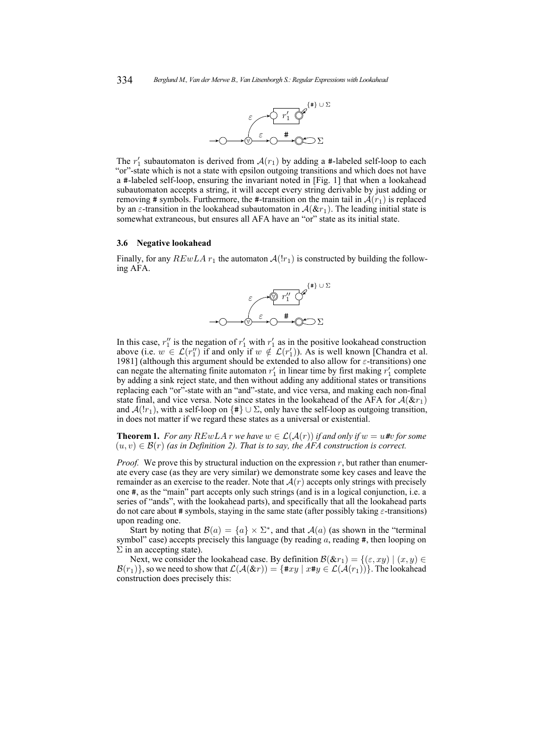

The  $r'_1$  subautomaton is derived from  $\mathcal{A}(r_1)$  by adding a #-labeled self-loop to each "or"-state which is not a state with epsilon outgoing transitions and which does not have a #-labeled self-loop, ensuring the invariant noted in [Fig. [1\]](#page-7-1) that when a lookahead subautomaton accepts a string, it will accept every string derivable by just adding or removing # symbols. Furthermore, the #-transition on the main tail in  $\mathcal{A}(r_1)$  is replaced by an  $\varepsilon$ -transition in the lookahead subautomaton in  $\mathcal{A}(\& r_1)$ . The leading initial state is somewhat extraneous, but ensures all AFA have an "or" state as its initial state.

#### **3.6 Negative lookahead**

Finally, for any  $REwLA r_1$  the automaton  $A(!r_1)$  is constructed by building the following AFA.



In this case,  $r_1''$  is the negation of  $r_1'$  with  $r_1'$  as in the positive lookahead construction above (i.e.  $w \in \mathcal{L}(r''_1)$  if and only if  $w \notin \mathcal{L}(r'_1)$ ). As is well known [\[Chandra et al.](#page-15-5) [1981\]](#page-15-5) (although this argument should be extended to also allow for  $\varepsilon$ -transitions) one can negate the alternating finite automaton  $r'_1$  in linear time by first making  $r'_1$  complete by adding a sink reject state, and then without adding any additional states or transitions replacing each "or"-state with an "and"-state, and vice versa, and making each non-final state final, and vice versa. Note since states in the lookahead of the AFA for  $A(kr_1)$ and  $\mathcal{A}(|r_1|)$ , with a self-loop on {#}  $\cup \Sigma$ , only have the self-loop as outgoing transition, in does not matter if we regard these states as a universal or existential.

**Theorem 1.** *For any*  $REwLA$  *r we have*  $w \in \mathcal{L}(\mathcal{A}(r))$  *if and only if*  $w = u$  *#v for some*  $(u, v) \in \mathcal{B}(r)$  (as in Definition [2\)](#page-3-0). That is to say, the AFA construction is correct.

*Proof.* We prove this by structural induction on the expression  $r$ , but rather than enumerate every case (as they are very similar) we demonstrate some key cases and leave the remainder as an exercise to the reader. Note that  $\mathcal{A}(r)$  accepts only strings with precisely one #, as the "main" part accepts only such strings (and is in a logical conjunction, i.e. a series of "ands", with the lookahead parts), and specifically that all the lookahead parts do not care about # symbols, staying in the same state (after possibly taking  $\varepsilon$ -transitions) upon reading one.

Start by noting that  $\mathcal{B}(a) = \{a\} \times \Sigma^*$ , and that  $\mathcal{A}(a)$  (as shown in the "terminal symbol" case) accepts precisely this language (by reading  $a$ , reading  $\#$ , then looping on  $\Sigma$  in an accepting state).

Next, we consider the lookahead case. By definition  $\mathcal{B}(\&x_1) = \{(\varepsilon, xy) \mid (x, y) \in \mathcal{B}(\&x_1) \}$  $\mathcal{B}(r_1)$ , so we need to show that  $\mathcal{L}(\mathcal{A}(\& r)) = \{\texttt{\#} xy \mid x \texttt{\#} y \in \mathcal{L}(\mathcal{A}(r_1))\}.$  The lookahead construction does precisely this: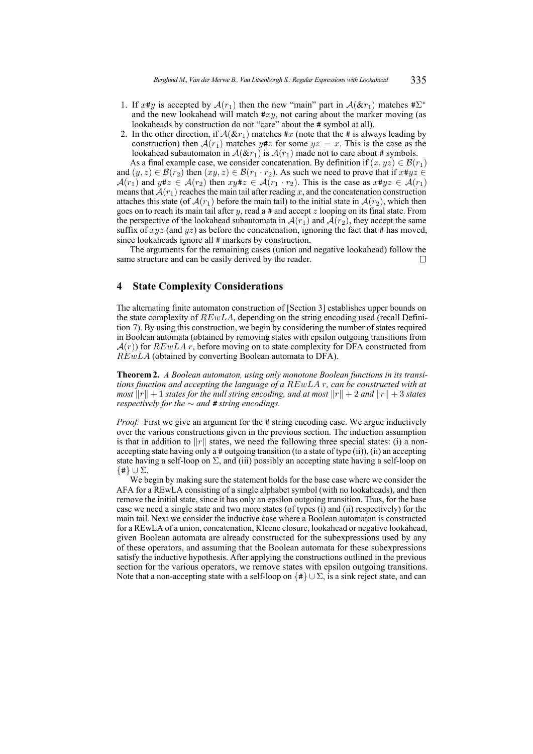- 1. If  $x \# y$  is accepted by  $\mathcal{A}(r_1)$  then the new "main" part in  $\mathcal{A}(\& r_1)$  matches  $\# \Sigma^*$ and the new lookahead will match  $\#xy$ , not caring about the marker moving (as lookaheads by construction do not "care" about the # symbol at all).
- 2. In the other direction, if  $A(kr_1)$  matches #x (note that the # is always leading by construction) then  $A(r_1)$  matches  $y \# z$  for some  $yz = x$ . This is the case as the lookahead subautomaton in  $A(\&r_1)$  is  $A(r_1)$  made not to care about # symbols.

As a final example case, we consider concatenation. By definition if  $(x, yz) \in \mathcal{B}(r_1)$ and  $(y, z) \in \mathcal{B}(r_2)$  then  $(xy, z) \in \mathcal{B}(r_1 \cdot r_2)$ . As such we need to prove that if  $x \# y z \in$  $\mathcal{A}(r_1)$  and  $y \# z \in \mathcal{A}(r_2)$  then  $xy \# z \in \mathcal{A}(r_1 \cdot r_2)$ . This is the case as  $x \# y z \in \mathcal{A}(r_1)$ means that  $\mathcal{A}(r_1)$  reaches the main tail after reading x, and the concatenation construction attaches this state (of  $\mathcal{A}(r_1)$  before the main tail) to the initial state in  $\mathcal{A}(r_2)$ , which then goes on to reach its main tail after y, read a  $\#$  and accept z looping on its final state. From the perspective of the lookahead subautomata in  $\mathcal{A}(r_1)$  and  $\mathcal{A}(r_2)$ , they accept the same suffix of  $xyz$  (and  $yz$ ) as before the concatenation, ignoring the fact that # has moved, since lookaheads ignore all # markers by construction.

The arguments for the remaining cases (union and negative lookahead) follow the same structure and can be easily derived by the reader.  $\Box$ 

## <span id="page-11-0"></span>**4 State Complexity Considerations**

The alternating finite automaton construction of [Section [3\]](#page-6-0) establishes upper bounds on the state complexity of  $REwLA$ , depending on the string encoding used (recall Definition [7\)](#page-6-1). By using this construction, we begin by considering the number of states required in Boolean automata (obtained by removing states with epsilon outgoing transitions from  $A(r)$ ) for  $REwLA r$ , before moving on to state complexity for DFA constructed from  $REwLA$  (obtained by converting Boolean automata to DFA).

<span id="page-11-1"></span>**Theorem 2.** *A Boolean automaton, using only monotone Boolean functions in its transitions function and accepting the language of a* REwLA r*, can be constructed with at most*  $||r|| + 1$  *states for the null string encoding, and at most*  $||r|| + 2$  *and*  $||r|| + 3$  *states respectively for the*  $\sim$  *and*  $#$  *string encodings.* 

*Proof.* First we give an argument for the # string encoding case. We argue inductively over the various constructions given in the previous section. The induction assumption is that in addition to  $||r||$  states, we need the following three special states: (i) a nonaccepting state having only a # outgoing transition (to a state of type (ii)), (ii) an accepting state having a self-loop on  $\Sigma$ , and (iii) possibly an accepting state having a self-loop on {#} ∪ Σ.

We begin by making sure the statement holds for the base case where we consider the AFA for a REwLA consisting of a single alphabet symbol (with no lookaheads), and then remove the initial state, since it has only an epsilon outgoing transition. Thus, for the base case we need a single state and two more states (of types (i) and (ii) respectively) for the main tail. Next we consider the inductive case where a Boolean automaton is constructed for a REwLA of a union, concatenation, Kleene closure, lookahead or negative lookahead, given Boolean automata are already constructed for the subexpressions used by any of these operators, and assuming that the Boolean automata for these subexpressions satisfy the inductive hypothesis. After applying the constructions outlined in the previous section for the various operators, we remove states with epsilon outgoing transitions. Note that a non-accepting state with a self-loop on  $\{\#\}\cup\Sigma$ , is a sink reject state, and can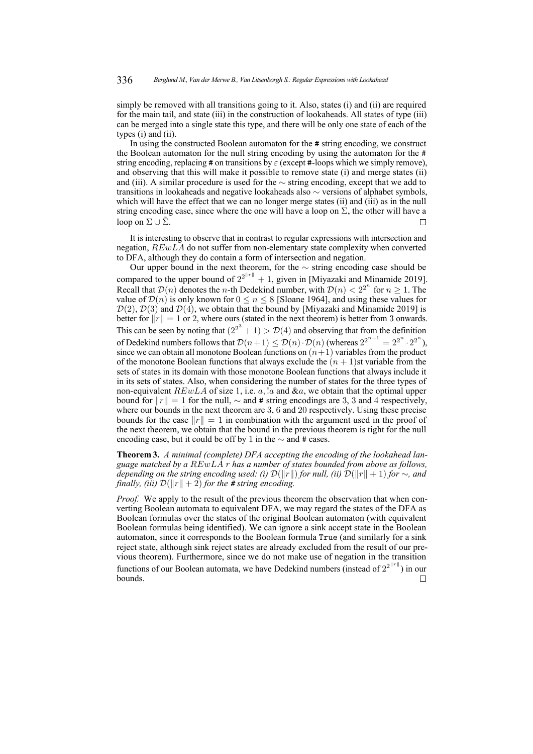simply be removed with all transitions going to it. Also, states (i) and (ii) are required for the main tail, and state (iii) in the construction of lookaheads. All states of type (iii) can be merged into a single state this type, and there will be only one state of each of the types (i) and (ii).

In using the constructed Boolean automaton for the # string encoding, we construct the Boolean automaton for the null string encoding by using the automaton for the # string encoding, replacing # on transitions by  $\varepsilon$  (except #-loops which we simply remove), and observing that this will make it possible to remove state (i) and merge states (ii) and (iii). A similar procedure is used for the  $\sim$  string encoding, except that we add to transitions in lookaheads and negative lookaheads also ∼ versions of alphabet symbols, which will have the effect that we can no longer merge states (ii) and (iii) as in the null string encoding case, since where the one will have a loop on  $\Sigma$ , the other will have a loop on  $\Sigma \cup \tilde{\Sigma}$ .  $\Box$ 

It is interesting to observe that in contrast to regular expressions with intersection and negation, REwLA do not suffer from non-elementary state complexity when converted to DFA, although they do contain a form of intersection and negation.

Our upper bound in the next theorem, for the ∼ string encoding case should be compared to the upper bound of  $2^{2^{n}+1} + 1$ , given in [\[Miyazaki and Minamide 2019\]](#page-16-5). Recall that  $\mathcal{D}(n)$  denotes the *n*-th Dedekind number, with  $\mathcal{D}(n) < 2^{2^n}$  for  $n \ge 1$ . The value of  $\mathcal{D}(n)$  is only known for  $0 \le n \le 8$  [\[Sloane 1964\]](#page-16-9), and using these values for  $\mathcal{D}(2)$ ,  $\mathcal{D}(3)$  and  $\mathcal{D}(4)$ , we obtain that the bound by [\[Miyazaki and Minamide 2019\]](#page-16-5) is better for  $||r|| = 1$  or 2, where ours (stated in the next theorem) is better from 3 onwards. This can be seen by noting that  $(2^{2^3} + 1) > \mathcal{D}(4)$  and observing that from the definition of Dedekind numbers follows that  $\mathcal{D}(n+1) \le \mathcal{D}(n) \cdot \mathcal{D}(n)$  (whereas  $2^{2^{n+1}} = 2^{2^n} \cdot 2^{2^n}$ ), since we can obtain all monotone Boolean functions on  $(n+1)$  variables from the product of the monotone Boolean functions that always exclude the  $(n + 1)$ st variable from the sets of states in its domain with those monotone Boolean functions that always include it in its sets of states. Also, when considering the number of states for the three types of non-equivalent  $REwLA$  of size 1, i.e. a, !a and  $\&a$ , we obtain that the optimal upper bound for  $||r|| = 1$  for the null,  $\sim$  and # string encodings are 3, 3 and 4 respectively, where our bounds in the next theorem are 3, 6 and 20 respectively. Using these precise bounds for the case  $||r|| = 1$  in combination with the argument used in the proof of the next theorem, we obtain that the bound in the previous theorem is tight for the null encoding case, but it could be off by 1 in the  $\sim$  and # cases.

<span id="page-12-0"></span>**Theorem 3.** *A minimal (complete) DFA accepting the encoding of the lookahead language matched by a* REwLA r *has a number of states bounded from above as follows, depending on the string encoding used: (i)*  $\mathcal{D}(\Vert r \Vert)$  *for null, (ii)*  $\mathcal{D}(\Vert r \Vert + 1)$  *for*  $\sim$ *, and finally, (iii)*  $\mathcal{D}(\Vert r \Vert + 2)$  *for the # string encoding.* 

*Proof.* We apply to the result of the previous theorem the observation that when converting Boolean automata to equivalent DFA, we may regard the states of the DFA as Boolean formulas over the states of the original Boolean automaton (with equivalent Boolean formulas being identified). We can ignore a sink accept state in the Boolean automaton, since it corresponds to the Boolean formula True (and similarly for a sink reject state, although sink reject states are already excluded from the result of our previous theorem). Furthermore, since we do not make use of negation in the transition functions of our Boolean automata, we have Dedekind numbers (instead of  $2^{2^{\lVert r \rVert}}$ ) in our bounds. $\Box$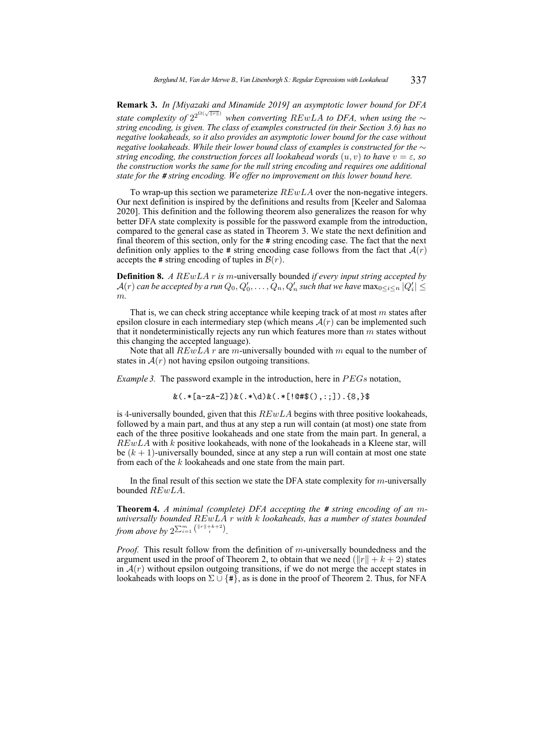**Remark 3.** *In [\[Miyazaki and Minamide 2019\]](#page-16-5) an asymptotic lower bound for DFA* state complexity of  $2^{2^{\Omega(\sqrt{\|\mathbf{r}\|})}}$  when converting  $REwLA$  to DFA, when using the  $\sim$ *string encoding, is given. The class of examples constructed (in their Section 3.6) has no negative lookaheads, so it also provides an asymptotic lower bound for the case without negative lookaheads. While their lower bound class of examples is constructed for the* ∼ *string encoding, the construction forces all lookahead words*  $(u, v)$  *to have*  $v = \varepsilon$ *, so the construction works the same for the null string encoding and requires one additional state for the # string encoding. We offer no improvement on this lower bound here.*

To wrap-up this section we parameterize  $REwLA$  over the non-negative integers. Our next definition is inspired by the definitions and results from [\[Keeler and Salomaa](#page-16-12) [2020\]](#page-16-12). This definition and the following theorem also generalizes the reason for why better DFA state complexity is possible for the password example from the introduction, compared to the general case as stated in Theorem [3.](#page-12-0) We state the next definition and final theorem of this section, only for the # string encoding case. The fact that the next definition only applies to the # string encoding case follows from the fact that  $A(r)$ accepts the # string encoding of tuples in  $\mathcal{B}(r)$ .

**Definition 8.** *A* REwLA r *is* m-universally bounded *if every input string accepted by*  $\mathcal{A}(r)$  can be accepted by a run  $Q_0, Q'_0, \ldots, Q_n, Q'_n$  such that we have  $\max_{0 \leq i \leq n} |Q'_i| \leq$ m*.*

That is, we can check string acceptance while keeping track of at most  $m$  states after epsilon closure in each intermediary step (which means  $A(r)$  can be implemented such that it nondeterministically rejects any run which features more than  $m$  states without this changing the accepted language).

Note that all  $REwLA$  r are m-universally bounded with m equal to the number of states in  $A(r)$  not having epsilon outgoing transitions.

*Example 3.* The password example in the introduction, here in  $PEGs$  notation,

 $&(.*[a-zA-Z])&(.*\ddot{a})&(.*[0#$(.),:;]).[8,]}$ 

is 4-universally bounded, given that this  $REwLA$  begins with three positive lookaheads, followed by a main part, and thus at any step a run will contain (at most) one state from each of the three positive lookaheads and one state from the main part. In general, a  $REwLA$  with  $k$  positive lookaheads, with none of the lookaheads in a Kleene star, will be  $(k + 1)$ -universally bounded, since at any step a run will contain at most one state from each of the k lookaheads and one state from the main part.

In the final result of this section we state the DFA state complexity for  $m$ -universally bounded REwLA.

**Theorem 4.** *A minimal (complete) DFA accepting the # string encoding of an* m*universally bounded* REwLA r *with* k *lookaheads, has a number of states bounded from above by*  $2^{\sum_{i=1}^{m} \binom{||r||+k+2}{i}}$ .

*Proof.* This result follow from the definition of m-universally boundedness and the argument used in the proof of Theorem [2,](#page-11-1) to obtain that we need  $(||r|| + k + 2)$  states in  $A(r)$  without epsilon outgoing transitions, if we do not merge the accept states in lookaheads with loops on  $\Sigma \cup {\{\#\}}$ , as is done in the proof of Theorem [2.](#page-11-1) Thus, for NFA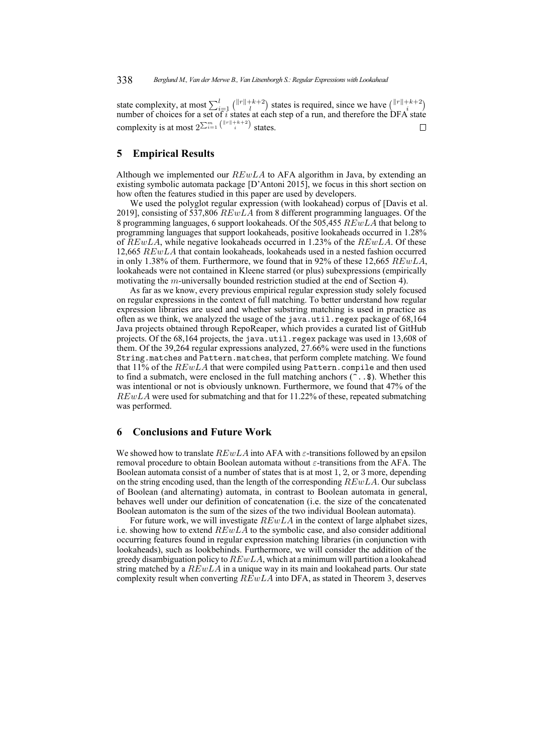state complexity, at most  $\sum_{i=1}^{l} {||r||+k+2 \choose l}$  states is required, since we have  ${||r||+k+2 \choose k}$ number of choices for a set of  $i$  states at each step of a run, and therefore the DFA state complexity is at most  $2^{\sum_{i=1}^{m} \binom{||r||+k+2}{i}}$  states.  $\Box$ 

# **5 Empirical Results**

Although we implemented our  $REwLA$  to AFA algorithm in Java, by extending an existing symbolic automata package [\[D'Antoni 2015\]](#page-15-9), we focus in this short section on how often the features studied in this paper are used by developers.

We used the polyglot regular expression (with lookahead) corpus of [\[Davis et al.](#page-15-4) [2019\]](#page-15-4), consisting of 537,806  $REwLA$  from 8 different programming languages. Of the 8 programming languages, 6 support lookaheads. Of the 505,455 REwLA that belong to programming languages that support lookaheads, positive lookaheads occurred in 1.28% of  $REwLA$ , while negative lookaheads occurred in 1.23% of the  $REwLA$ . Of these 12,665 REwLA that contain lookaheads, lookaheads used in a nested fashion occurred in only 1.38% of them. Furthermore, we found that in 92% of these 12,665  $REwLA$ , lookaheads were not contained in Kleene starred (or plus) subexpressions (empirically motivating the m-universally bounded restriction studied at the end of Section [4\)](#page-11-0).

As far as we know, every previous empirical regular expression study solely focused on regular expressions in the context of full matching. To better understand how regular expression libraries are used and whether substring matching is used in practice as often as we think, we analyzed the usage of the java.util.regex package of 68,164 Java projects obtained through RepoReaper, which provides a curated list of GitHub projects. Of the 68,164 projects, the java.util.regex package was used in 13,608 of them. Of the 39,264 regular expressions analyzed, 27.66% were used in the functions String.matches and Pattern.matches, that perform complete matching. We found that  $11\%$  of the  $REwLA$  that were compiled using Pattern.compile and then used to find a submatch, were enclosed in the full matching anchors  $(\tilde{\cdot} \cdot \mathbf{\hat{s}})$ . Whether this was intentional or not is obviously unknown. Furthermore, we found that 47% of the  $REwLA$  were used for submatching and that for 11.22% of these, repeated submatching was performed.

# **6 Conclusions and Future Work**

We showed how to translate  $REwLA$  into AFA with  $\varepsilon$ -transitions followed by an epsilon removal procedure to obtain Boolean automata without  $\varepsilon$ -transitions from the AFA. The Boolean automata consist of a number of states that is at most 1, 2, or 3 more, depending on the string encoding used, than the length of the corresponding  $REwLA$ . Our subclass of Boolean (and alternating) automata, in contrast to Boolean automata in general, behaves well under our definition of concatenation (i.e. the size of the concatenated Boolean automaton is the sum of the sizes of the two individual Boolean automata).

For future work, we will investigate  $REwLA$  in the context of large alphabet sizes, i.e. showing how to extend  $REwLA$  to the symbolic case, and also consider additional occurring features found in regular expression matching libraries (in conjunction with lookaheads), such as lookbehinds. Furthermore, we will consider the addition of the greedy disambiguation policy to  $REwLA$ , which at a minimum will partition a lookahead string matched by a  $REwLA$  in a unique way in its main and lookahead parts. Our state complexity result when converting  $REwLA$  into DFA, as stated in Theorem [3,](#page-12-0) deserves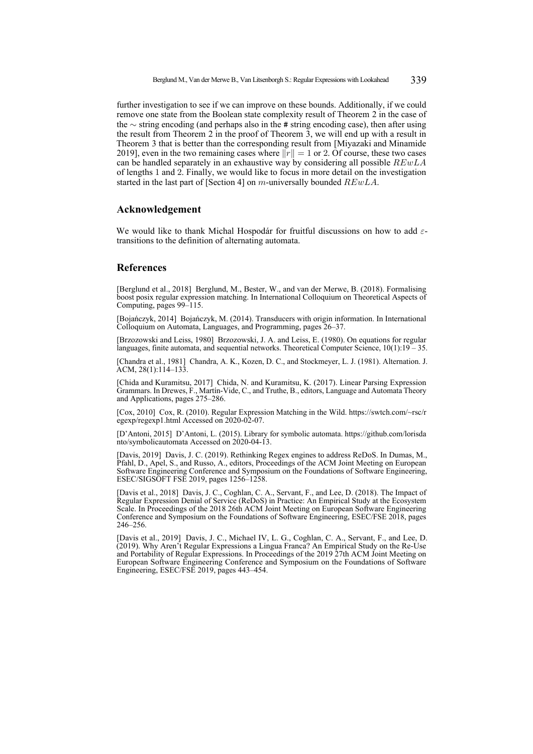further investigation to see if we can improve on these bounds. Additionally, if we could remove one state from the Boolean state complexity result of Theorem [2](#page-11-1) in the case of the ∼ string encoding (and perhaps also in the # string encoding case), then after using the result from Theorem [2](#page-11-1) in the proof of Theorem [3,](#page-12-0) we will end up with a result in Theorem [3](#page-12-0) that is better than the corresponding result from [\[Miyazaki and Minamide](#page-16-5) [2019\]](#page-16-5), even in the two remaining cases where  $||r|| = 1$  or 2. Of course, these two cases can be handled separately in an exhaustive way by considering all possible  $REwLA$ of lengths 1 and 2. Finally, we would like to focus in more detail on the investigation started in the last part of [Section [4\]](#page-11-0) on  $m$ -universally bounded  $REwLA$ .

# **Acknowledgement**

We would like to thank Michal Hospodár for fruitful discussions on how to add  $\varepsilon$ transitions to the definition of alternating automata.

## **References**

<span id="page-15-7"></span>[Berglund et al., 2018] Berglund, M., Bester, W., and van der Merwe, B. (2018). Formalising boost posix regular expression matching. In International Colloquium on Theoretical Aspects of Computing, pages 99–115.

<span id="page-15-8"></span>[Bojańczyk, 2014] Bojańczyk, M. (2014). Transducers with origin information. In International Colloquium on Automata, Languages, and Programming, pages 26–37.

<span id="page-15-6"></span>[Brzozowski and Leiss, 1980] Brzozowski, J. A. and Leiss, E. (1980). On equations for regular languages, finite automata, and sequential networks. Theoretical Computer Science, 10(1):19 – 35.

<span id="page-15-5"></span>[Chandra et al., 1981] Chandra, A. K., Kozen, D. C., and Stockmeyer, L. J. (1981). Alternation. J. ACM,  $28(1)$ : $114-133$ .

<span id="page-15-2"></span>[Chida and Kuramitsu, 2017] Chida, N. and Kuramitsu, K. (2017). Linear Parsing Expression Grammars. In Drewes, F., Martín-Vide, C., and Truthe, B., editors, Language and Automata Theory and Applications, pages 275–286.

<span id="page-15-3"></span>[Cox, 2010] Cox, R. (2010). Regular Expression Matching in the Wild. [https://swtch.com/~rsc/r](https://swtch.com/~rsc/regexp/regexp1.html) [egexp/regexp1.html](https://swtch.com/~rsc/regexp/regexp1.html) Accessed on 2020-02-07.

<span id="page-15-9"></span>[D'Antoni, 2015] D'Antoni, L. (2015). Library for symbolic automata. [https://github.com/lorisda](https://github.com/lorisdanto/symbolicautomata) [nto/symbolicautomata](https://github.com/lorisdanto/symbolicautomata) Accessed on 2020-04-13.

<span id="page-15-0"></span>[Davis, 2019] Davis, J. C. (2019). Rethinking Regex engines to address ReDoS. In Dumas, M., Pfahl, D., Apel, S., and Russo, A., editors, Proceedings of the ACM Joint Meeting on European Software Engineering Conference and Symposium on the Foundations of Software Engineering, ESEC/SIGSOFT FSE 2019, pages 1256–1258.

<span id="page-15-1"></span>[Davis et al., 2018] Davis, J. C., Coghlan, C. A., Servant, F., and Lee, D. (2018). The Impact of Regular Expression Denial of Service (ReDoS) in Practice: An Empirical Study at the Ecosystem Scale. In Proceedings of the 2018 26th ACM Joint Meeting on European Software Engineering Conference and Symposium on the Foundations of Software Engineering, ESEC/FSE 2018, pages 246–256.

<span id="page-15-4"></span>[Davis et al., 2019] Davis, J. C., Michael IV, L. G., Coghlan, C. A., Servant, F., and Lee, D. (2019). Why Aren't Regular Expressions a Lingua Franca? An Empirical Study on the Re-Use and Portability of Regular Expressions. In Proceedings of the 2019 27th ACM Joint Meeting on European Software Engineering Conference and Symposium on the Foundations of Software Engineering, ESEC/FSE 2019, pages 443–454.